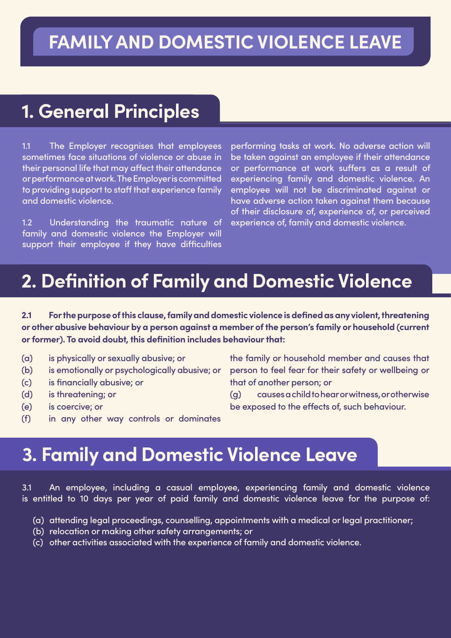# **FAMILY AND DOMESTIC VIOLENCE LEAVE**

#### **1. General Principles**

1.1 The Employer recognises that employees sometimes face situations of violence or abuse in their personal life that may affect their attendance or performance at work. The Employer is committed to providing support to staff that experience family and domestic violence.

1.2 Understanding the traumatic nature of family and domestic violence the Employer will support their employee if they have difficulties

performing tasks at work. No adverse action will be taken against an employee if their attendance or performance at work suffers as a result of experiencing family and domestic violence. An employee will not be discriminated against or have adverse action taken against them because of their disclosure of, experience of, or perceived experience of, family and domestic violence.

### **2. Definition of Family and Domestic Violence**

**2.1 For the purpose of this clause, family and domestic violence is defined as any violent, threatening or other abusive behaviour by a person against a member of the person's family or household (current or former). To avoid doubt, this definition includes behaviour that:**

- (a) is physically or sexually abusive; or
- (b) is emotionally or psychologically abusive; or
- (c) is financially abusive; or
- (d) is threatening; or
- (e) is coercive; or
- (f) in any other way controls or dominates

the family or household member and causes that person to feel fear for their safety or wellbeing or that of another person; or

(g) causes a child to hear or witness, or otherwise be exposed to the effects of, such behaviour.

#### **3. Family and Domestic Violence Leave**

3.1 An employee, including a casual employee, experiencing family and domestic violence is entitled to 10 days per year of paid family and domestic violence leave for the purpose of:

- (a) attending legal proceedings, counselling, appointments with a medical or legal practitioner;
- (b) relocation or making other safety arrangements; or
- (c) other activities associated with the experience of family and domestic violence.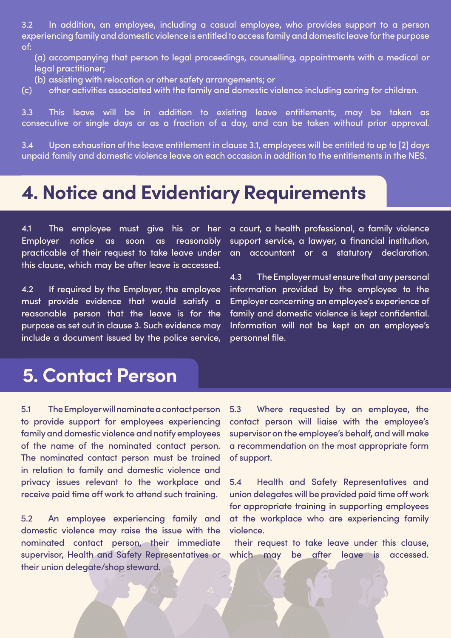3.2 In addition, an employee, including a casual employee, who provides support to a person experiencing family and domestic violence is entitled to access family and domestic leave for the purpose of:

- (a) accompanying that person to legal proceedings, counselling, appointments with a medical or legal practitioner;
- (b) assisting with relocation or other safety arrangements; or
- (c) other activities associated with the family and domestic violence including caring for children.

3.3 This leave will be in addition to existing leave entitlements, may be taken as consecutive or single days or as a fraction of a day, and can be taken without prior approval.

3.4 Upon exhaustion of the leave entitlement in clause 3.1, employees will be entitled to up to [2] days unpaid family and domestic violence leave on each occasion in addition to the entitlements in the NES.

# **4. Notice and Evidentiary Requirements**

4.1 The employee must give his or her Employer notice as soon as reasonably practicable of their request to take leave under this clause, which may be after leave is accessed.

4.2 If required by the Employer, the employee must provide evidence that would satisfy a reasonable person that the leave is for the purpose as set out in clause 3. Such evidence may include a document issued by the police service, a court, a health professional, a family violence support service, a lawyer, a financial institution, an accountant or a statutory declaration.

4.3 The Employer must ensure that any personal information provided by the employee to the Employer concerning an employee's experience of family and domestic violence is kept confidential. Information will not be kept on an employee's personnel file.

## **5. Contact Person**

5.1 The Employer will nominate a contact person to provide support for employees experiencing family and domestic violence and notify employees of the name of the nominated contact person. The nominated contact person must be trained in relation to family and domestic violence and privacy issues relevant to the workplace and receive paid time off work to attend such training.

5.2 An employee experiencing family and domestic violence may raise the issue with the nominated contact person, their immediate supervisor, Health and Safety Representatives or their union delegate/shop steward.

5.3 Where requested by an employee, the contact person will liaise with the employee's supervisor on the employee's behalf, and will make a recommendation on the most appropriate form of support.

5.4 Health and Safety Representatives and union delegates will be provided paid time off work for appropriate training in supporting employees at the workplace who are experiencing family violence.

 their request to take leave under this clause, which may be after leave is accessed.